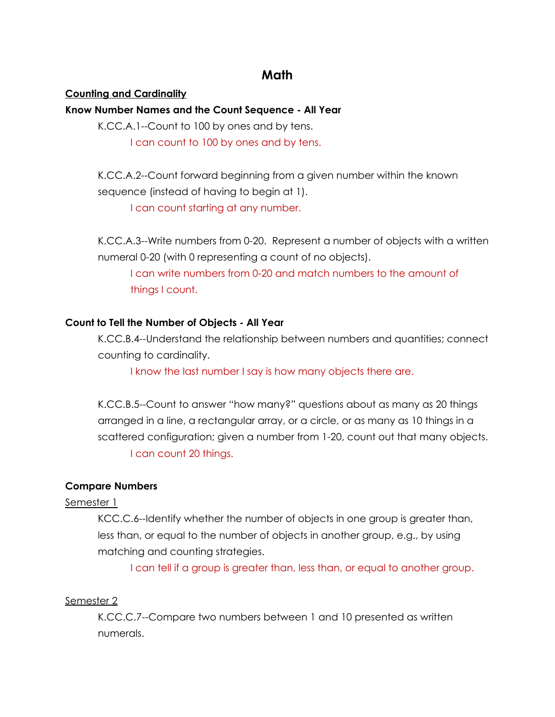# **Math**

### **Counting and Cardinality**

## **Know Number Names and the Count Sequence - All Year**

K.CC.A.1--Count to 100 by ones and by tens.

I can count to 100 by ones and by tens.

K.CC.A.2--Count forward beginning from a given number within the known sequence (instead of having to begin at 1).

I can count starting at any number.

K.CC.A.3--Write numbers from 0-20. Represent a number of objects with a written numeral 0-20 (with 0 representing a count of no objects).

I can write numbers from 0-20 and match numbers to the amount of things I count.

## **Count to Tell the Number of Objects - All Year**

K.CC.B.4--Understand the relationship between numbers and quantities; connect counting to cardinality.

I know the last number I say is how many objects there are.

K.CC.B.5--Count to answer "how many?" questions about as many as 20 things arranged in a line, a rectangular array, or a circle, or as many as 10 things in a scattered configuration; given a number from 1-20, count out that many objects. I can count 20 things.

# **Compare Numbers**

#### Semester 1

KCC.C.6--Identify whether the number of objects in one group is greater than, less than, or equal to the number of objects in another group, e.g., by using matching and counting strategies.

I can tell if a group is greater than, less than, or equal to another group.

#### Semester 2

K.CC.C.7--Compare two numbers between 1 and 10 presented as written numerals.